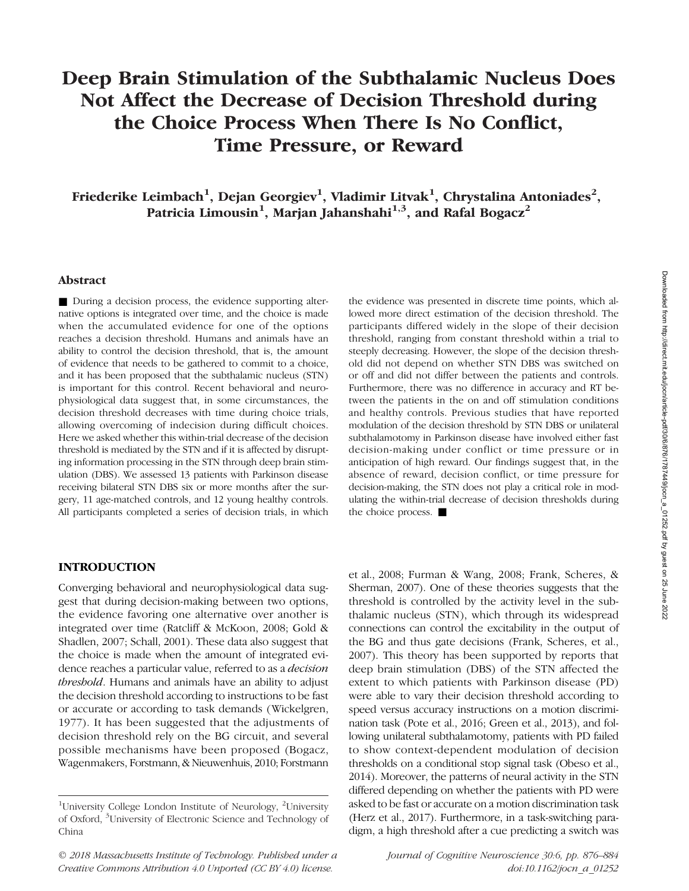# Deep Brain Stimulation of the Subthalamic Nucleus Does Not Affect the Decrease of Decision Threshold during the Choice Process When There Is No Conflict, Time Pressure, or Reward

Friederike Leimbach $^1$ , Dejan Georgiev $^1$ , Vladimir Litvak $^1$ , Chrystalina Antoniades $^2,$ Patricia Limousin<sup>1</sup>, Marjan Jahanshahi<sup>1,3</sup>, and Rafal Bogacz<sup>2</sup>

## Abstract

■ During a decision process, the evidence supporting alternative options is integrated over time, and the choice is made when the accumulated evidence for one of the options reaches a decision threshold. Humans and animals have an ability to control the decision threshold, that is, the amount of evidence that needs to be gathered to commit to a choice, and it has been proposed that the subthalamic nucleus (STN) is important for this control. Recent behavioral and neurophysiological data suggest that, in some circumstances, the decision threshold decreases with time during choice trials, allowing overcoming of indecision during difficult choices. Here we asked whether this within-trial decrease of the decision threshold is mediated by the STN and if it is affected by disrupting information processing in the STN through deep brain stimulation (DBS). We assessed 13 patients with Parkinson disease receiving bilateral STN DBS six or more months after the surgery, 11 age-matched controls, and 12 young healthy controls. All participants completed a series of decision trials, in which

### lowed more direct estimation of the decision threshold. The participants differed widely in the slope of their decision threshold, ranging from constant threshold within a trial to steeply decreasing. However, the slope of the decision threshold did not depend on whether STN DBS was switched on or off and did not differ between the patients and controls. Furthermore, there was no difference in accuracy and RT between the patients in the on and off stimulation conditions and healthy controls. Previous studies that have reported modulation of the decision threshold by STN DBS or unilateral subthalamotomy in Parkinson disease have involved either fast decision-making under conflict or time pressure or in anticipation of high reward. Our findings suggest that, in the absence of reward, decision conflict, or time pressure for decision-making, the STN does not play a critical role in modulating the within-trial decrease of decision thresholds during the choice process. ■

the evidence was presented in discrete time points, which al-

#### INTRODUCTION

Converging behavioral and neurophysiological data suggest that during decision-making between two options, the evidence favoring one alternative over another is integrated over time (Ratcliff & McKoon, 2008; Gold & Shadlen, 2007; Schall, 2001). These data also suggest that the choice is made when the amount of integrated evidence reaches a particular value, referred to as a decision threshold. Humans and animals have an ability to adjust the decision threshold according to instructions to be fast or accurate or according to task demands (Wickelgren, 1977). It has been suggested that the adjustments of decision threshold rely on the BG circuit, and several possible mechanisms have been proposed (Bogacz, Wagenmakers, Forstmann, & Nieuwenhuis, 2010; Forstmann

© 2018 Massachusetts Institute of Technology. Published under a Creative Commons Attribution 4.0 Unported (CC BY 4.0) license. doi:10.1162/jocn\_a\_01252

et al., 2008; Furman & Wang, 2008; Frank, Scheres, & Sherman, 2007). One of these theories suggests that the threshold is controlled by the activity level in the subthalamic nucleus (STN), which through its widespread connections can control the excitability in the output of the BG and thus gate decisions (Frank, Scheres, et al., 2007). This theory has been supported by reports that deep brain stimulation (DBS) of the STN affected the extent to which patients with Parkinson disease (PD) were able to vary their decision threshold according to speed versus accuracy instructions on a motion discrimination task (Pote et al., 2016; Green et al., 2013), and following unilateral subthalamotomy, patients with PD failed to show context-dependent modulation of decision thresholds on a conditional stop signal task (Obeso et al., 2014). Moreover, the patterns of neural activity in the STN differed depending on whether the patients with PD were asked to be fast or accurate on a motion discrimination task (Herz et al., 2017). Furthermore, in a task-switching paradigm, a high threshold after a cue predicting a switch was

Journal of Cognitive Neuroscience 30:6, pp. 876–884

<sup>&</sup>lt;sup>1</sup>University College London Institute of Neurology, <sup>2</sup>University of Oxford, <sup>3</sup> University of Electronic Science and Technology of China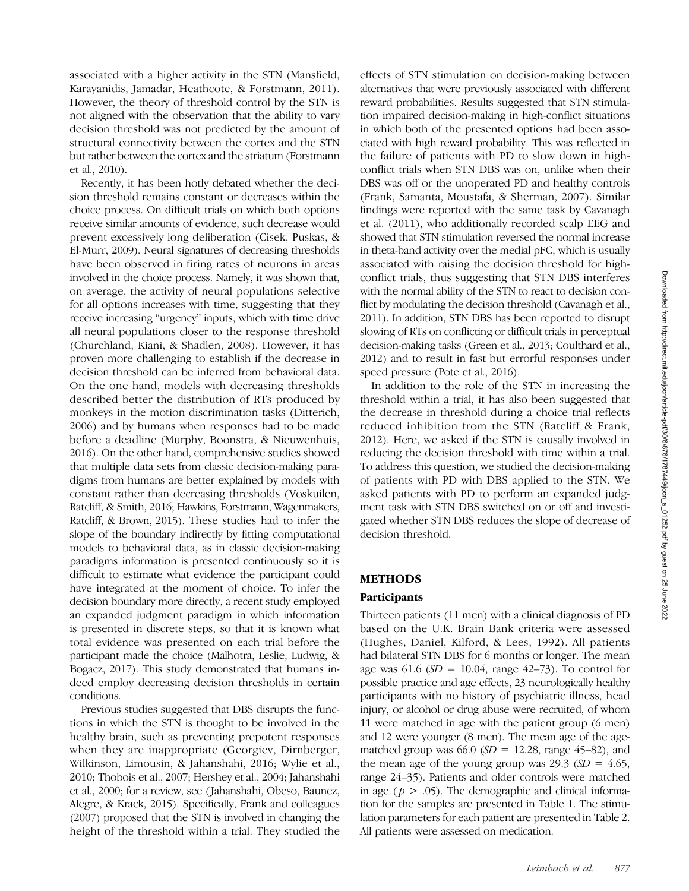associated with a higher activity in the STN (Mansfield, Karayanidis, Jamadar, Heathcote, & Forstmann, 2011). However, the theory of threshold control by the STN is not aligned with the observation that the ability to vary decision threshold was not predicted by the amount of structural connectivity between the cortex and the STN but rather between the cortex and the striatum (Forstmann et al., 2010).

Recently, it has been hotly debated whether the decision threshold remains constant or decreases within the choice process. On difficult trials on which both options receive similar amounts of evidence, such decrease would prevent excessively long deliberation (Cisek, Puskas, & El-Murr, 2009). Neural signatures of decreasing thresholds have been observed in firing rates of neurons in areas involved in the choice process. Namely, it was shown that, on average, the activity of neural populations selective for all options increases with time, suggesting that they receive increasing "urgency" inputs, which with time drive all neural populations closer to the response threshold (Churchland, Kiani, & Shadlen, 2008). However, it has proven more challenging to establish if the decrease in decision threshold can be inferred from behavioral data. On the one hand, models with decreasing thresholds described better the distribution of RTs produced by monkeys in the motion discrimination tasks (Ditterich, 2006) and by humans when responses had to be made before a deadline (Murphy, Boonstra, & Nieuwenhuis, 2016). On the other hand, comprehensive studies showed that multiple data sets from classic decision-making paradigms from humans are better explained by models with constant rather than decreasing thresholds (Voskuilen, Ratcliff, & Smith, 2016; Hawkins, Forstmann, Wagenmakers, Ratcliff, & Brown, 2015). These studies had to infer the slope of the boundary indirectly by fitting computational models to behavioral data, as in classic decision-making paradigms information is presented continuously so it is difficult to estimate what evidence the participant could have integrated at the moment of choice. To infer the decision boundary more directly, a recent study employed an expanded judgment paradigm in which information is presented in discrete steps, so that it is known what total evidence was presented on each trial before the participant made the choice (Malhotra, Leslie, Ludwig, & Bogacz, 2017). This study demonstrated that humans indeed employ decreasing decision thresholds in certain conditions.

Previous studies suggested that DBS disrupts the functions in which the STN is thought to be involved in the healthy brain, such as preventing prepotent responses when they are inappropriate (Georgiev, Dirnberger, Wilkinson, Limousin, & Jahanshahi, 2016; Wylie et al., 2010; Thobois et al., 2007; Hershey et al., 2004; Jahanshahi et al., 2000; for a review, see ( Jahanshahi, Obeso, Baunez, Alegre, & Krack, 2015). Specifically, Frank and colleagues (2007) proposed that the STN is involved in changing the height of the threshold within a trial. They studied the

effects of STN stimulation on decision-making between alternatives that were previously associated with different reward probabilities. Results suggested that STN stimulation impaired decision-making in high-conflict situations in which both of the presented options had been associated with high reward probability. This was reflected in the failure of patients with PD to slow down in highconflict trials when STN DBS was on, unlike when their DBS was off or the unoperated PD and healthy controls (Frank, Samanta, Moustafa, & Sherman, 2007). Similar findings were reported with the same task by Cavanagh et al. (2011), who additionally recorded scalp EEG and showed that STN stimulation reversed the normal increase in theta-band activity over the medial pFC, which is usually associated with raising the decision threshold for highconflict trials, thus suggesting that STN DBS interferes with the normal ability of the STN to react to decision conflict by modulating the decision threshold (Cavanagh et al., 2011). In addition, STN DBS has been reported to disrupt slowing of RTs on conflicting or difficult trials in perceptual decision-making tasks (Green et al., 2013; Coulthard et al., 2012) and to result in fast but errorful responses under speed pressure (Pote et al., 2016).

In addition to the role of the STN in increasing the threshold within a trial, it has also been suggested that the decrease in threshold during a choice trial reflects reduced inhibition from the STN (Ratcliff & Frank, 2012). Here, we asked if the STN is causally involved in reducing the decision threshold with time within a trial. To address this question, we studied the decision-making of patients with PD with DBS applied to the STN. We asked patients with PD to perform an expanded judgment task with STN DBS switched on or off and investigated whether STN DBS reduces the slope of decrease of decision threshold.

# METHODS

#### **Participants**

Thirteen patients (11 men) with a clinical diagnosis of PD based on the U.K. Brain Bank criteria were assessed (Hughes, Daniel, Kilford, & Lees, 1992). All patients had bilateral STN DBS for 6 months or longer. The mean age was 61.6 ( $SD = 10.04$ , range 42–73). To control for possible practice and age effects, 23 neurologically healthy participants with no history of psychiatric illness, head injury, or alcohol or drug abuse were recruited, of whom 11 were matched in age with the patient group (6 men) and 12 were younger (8 men). The mean age of the agematched group was  $66.0$  (SD = 12.28, range 45–82), and the mean age of the young group was  $29.3$  (SD = 4.65, range 24–35). Patients and older controls were matched in age ( $p > .05$ ). The demographic and clinical information for the samples are presented in Table 1. The stimulation parameters for each patient are presented in Table 2. All patients were assessed on medication.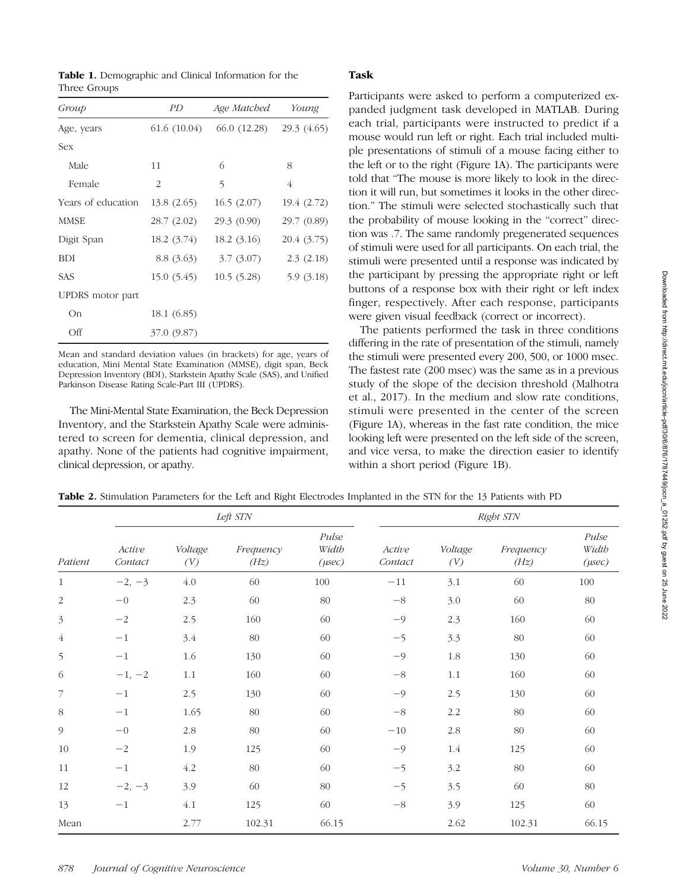Table 1. Demographic and Clinical Information for the Three Groups

| Group              | PD           | Age Matched  | Young       |  |
|--------------------|--------------|--------------|-------------|--|
| Age, years         | 61.6 (10.04) | 66.0 (12.28) | 29.3 (4.65) |  |
| Sex                |              |              |             |  |
| Male               | 11           | 6            | 8           |  |
| Female             | 2            | 5            | 4           |  |
| Years of education | 13.8(2.65)   | 16.5(2.07)   | 19.4 (2.72) |  |
| <b>MMSE</b>        | 28.7(2.02)   | 29.3(0.90)   | 29.7 (0.89) |  |
| Digit Span         | 18.2(3.74)   | 18.2(3.16)   | 20.4 (3.75) |  |
| <b>BDI</b>         | 8.8 (3.63)   | 3.7(3.07)    | 2.3(2.18)   |  |
| <b>SAS</b>         | 15.0(5.45)   | 10.5(5.28)   | 5.9(3.18)   |  |
| UPDRS motor part   |              |              |             |  |
| On                 | 18.1 (6.85)  |              |             |  |
| Off                | 37.0 (9.87)  |              |             |  |

Mean and standard deviation values (in brackets) for age, years of education, Mini Mental State Examination (MMSE), digit span, Beck Depression Inventory (BDI), Starkstein Apathy Scale (SAS), and Unified Parkinson Disease Rating Scale-Part III (UPDRS).

The Mini-Mental State Examination, the Beck Depression Inventory, and the Starkstein Apathy Scale were administered to screen for dementia, clinical depression, and apathy. None of the patients had cognitive impairment, clinical depression, or apathy.

## Task

Participants were asked to perform a computerized expanded judgment task developed in MATLAB. During each trial, participants were instructed to predict if a mouse would run left or right. Each trial included multiple presentations of stimuli of a mouse facing either to the left or to the right (Figure 1A). The participants were told that "The mouse is more likely to look in the direction it will run, but sometimes it looks in the other direction." The stimuli were selected stochastically such that the probability of mouse looking in the "correct" direction was .7. The same randomly pregenerated sequences of stimuli were used for all participants. On each trial, the stimuli were presented until a response was indicated by the participant by pressing the appropriate right or left buttons of a response box with their right or left index finger, respectively. After each response, participants were given visual feedback (correct or incorrect).

The patients performed the task in three conditions differing in the rate of presentation of the stimuli, namely the stimuli were presented every 200, 500, or 1000 msec. The fastest rate (200 msec) was the same as in a previous study of the slope of the decision threshold (Malhotra et al., 2017). In the medium and slow rate conditions, stimuli were presented in the center of the screen (Figure 1A), whereas in the fast rate condition, the mice looking left were presented on the left side of the screen, and vice versa, to make the direction easier to identify within a short period (Figure 1B).

Table 2. Stimulation Parameters for the Left and Right Electrodes Implanted in the STN for the 13 Patients with PD

|                | Left STN          |                |                   | Right STN                     |                   |                |                   |                               |
|----------------|-------------------|----------------|-------------------|-------------------------------|-------------------|----------------|-------------------|-------------------------------|
| Patient        | Active<br>Contact | Voltage<br>(V) | Frequency<br>(Hz) | Pulse<br>Width<br>$(\mu sec)$ | Active<br>Contact | Voltage<br>(V) | Frequency<br>(Hz) | Pulse<br>Width<br>$(\mu sec)$ |
| 1              | $-2, -3$          | 4.0            | 60                | 100                           | $-11$             | 3.1            | 60                | 100                           |
| $\overline{2}$ | $-0$              | 2.3            | 60                | $80\,$                        | $-8\,$            | 3.0            | 60                | 80                            |
| $\mathfrak{Z}$ | $-2$              | 2.5            | 160               | 60                            | $-9$              | 2.3            | 160               | 60                            |
| $\overline{4}$ | $-1$              | 3.4            | $80\,$            | 60                            | $-5$              | 3.3            | $80\,$            | 60                            |
| 5              | $-1$              | 1.6            | 130               | 60                            | $-9$              | $1.8\,$        | 130               | 60                            |
| 6              | $-1, -2$          | 1.1            | 160               | 60                            | $-8\,$            | 1.1            | 160               | 60                            |
| 7              | $-1$              | 2.5            | 130               | 60                            | $-9$              | 2.5            | 130               | 60                            |
| $8\,$          | $-1$              | 1.65           | 80                | 60                            | $-8\,$            | 2.2            | $80\,$            | 60                            |
| $\mathcal{G}$  | $-0$              | 2.8            | 80                | 60                            | $-10$             | 2.8            | $80\,$            | 60                            |
| 10             | $-2$              | 1.9            | 125               | 60                            | $-9$              | 1.4            | 125               | 60                            |
| 11             | $-1$              | 4.2            | 80                | 60                            | $-5$              | 3.2            | $80\,$            | 60                            |
| 12             | $-2, -3$          | 3.9            | 60                | $80\,$                        | $-5$              | 3.5            | 60                | $80\,$                        |
| 13             | $-1$              | $4.1\,$        | 125               | 60                            | $-8\,$            | 3.9            | 125               | 60                            |
| Mean           |                   | 2.77           | 102.31            | 66.15                         |                   | 2.62           | 102.31            | 66.15                         |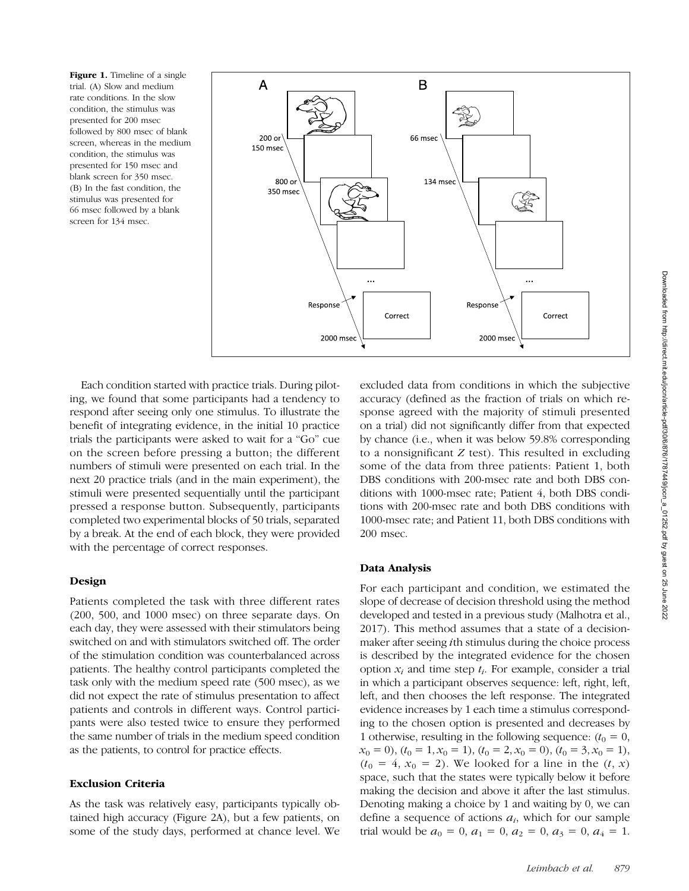Figure 1. Timeline of a single trial. (A) Slow and medium rate conditions. In the slow condition, the stimulus was presented for 200 msec followed by 800 msec of blank screen, whereas in the medium condition, the stimulus was presented for 150 msec and blank screen for 350 msec. (B) In the fast condition, the stimulus was presented for 66 msec followed by a blank screen for 134 msec.



Each condition started with practice trials. During piloting, we found that some participants had a tendency to respond after seeing only one stimulus. To illustrate the benefit of integrating evidence, in the initial 10 practice trials the participants were asked to wait for a "Go" cue on the screen before pressing a button; the different numbers of stimuli were presented on each trial. In the next 20 practice trials (and in the main experiment), the stimuli were presented sequentially until the participant pressed a response button. Subsequently, participants completed two experimental blocks of 50 trials, separated by a break. At the end of each block, they were provided with the percentage of correct responses.

# Design

Patients completed the task with three different rates (200, 500, and 1000 msec) on three separate days. On each day, they were assessed with their stimulators being switched on and with stimulators switched off. The order of the stimulation condition was counterbalanced across patients. The healthy control participants completed the task only with the medium speed rate (500 msec), as we did not expect the rate of stimulus presentation to affect patients and controls in different ways. Control participants were also tested twice to ensure they performed the same number of trials in the medium speed condition as the patients, to control for practice effects.

# Exclusion Criteria

As the task was relatively easy, participants typically obtained high accuracy (Figure 2A), but a few patients, on some of the study days, performed at chance level. We excluded data from conditions in which the subjective accuracy (defined as the fraction of trials on which response agreed with the majority of stimuli presented on a trial) did not significantly differ from that expected by chance (i.e., when it was below 59.8% corresponding to a nonsignificant  $Z$  test). This resulted in excluding some of the data from three patients: Patient 1, both DBS conditions with 200-msec rate and both DBS conditions with 1000-msec rate; Patient 4, both DBS conditions with 200-msec rate and both DBS conditions with 1000-msec rate; and Patient 11, both DBS conditions with 200 msec.

# Data Analysis

For each participant and condition, we estimated the slope of decrease of decision threshold using the method developed and tested in a previous study (Malhotra et al., 2017). This method assumes that a state of a decisionmaker after seeing ith stimulus during the choice process is described by the integrated evidence for the chosen option  $x_i$  and time step  $t_i$ . For example, consider a trial in which a participant observes sequence: left, right, left, left, and then chooses the left response. The integrated evidence increases by 1 each time a stimulus corresponding to the chosen option is presented and decreases by 1 otherwise, resulting in the following sequence:  $(t_0 = 0,$  $x_0 = 0$ ,  $(t_0 = 1, x_0 = 1)$ ,  $(t_0 = 2, x_0 = 0)$ ,  $(t_0 = 3, x_0 = 1)$ ,  $(t_0 = 4, x_0 = 2)$ . We looked for a line in the  $(t, x)$ space, such that the states were typically below it before making the decision and above it after the last stimulus. Denoting making a choice by 1 and waiting by 0, we can define a sequence of actions  $a_i$ , which for our sample trial would be  $a_0 = 0$ ,  $a_1 = 0$ ,  $a_2 = 0$ ,  $a_3 = 0$ ,  $a_4 = 1$ .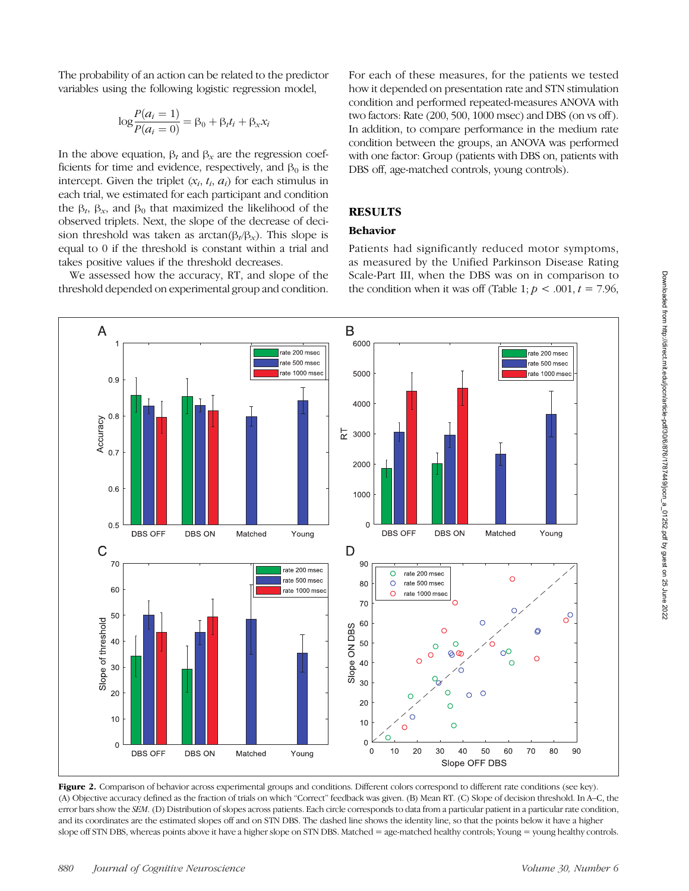The probability of an action can be related to the predictor variables using the following logistic regression model,

$$
\log \frac{P(a_i = 1)}{P(a_i = 0)} = \beta_0 + \beta_t t_i + \beta_x x_i
$$

In the above equation,  $β_t$  and  $β_x$  are the regression coefficients for time and evidence, respectively, and  $\beta_0$  is the intercept. Given the triplet  $(x_i, t_i, a_i)$  for each stimulus in each trial, we estimated for each participant and condition the  $\beta_t$ ,  $\beta_x$ , and  $\beta_0$  that maximized the likelihood of the observed triplets. Next, the slope of the decrease of decision threshold was taken as  $arctan(\beta_t/\beta_x)$ . This slope is equal to 0 if the threshold is constant within a trial and takes positive values if the threshold decreases.

We assessed how the accuracy, RT, and slope of the threshold depended on experimental group and condition. For each of these measures, for the patients we tested how it depended on presentation rate and STN stimulation condition and performed repeated-measures ANOVA with two factors: Rate (200, 500, 1000 msec) and DBS (on vs off ). In addition, to compare performance in the medium rate condition between the groups, an ANOVA was performed with one factor: Group (patients with DBS on, patients with DBS off, age-matched controls, young controls).

# **RESULTS**

## Behavior

Patients had significantly reduced motor symptoms, as measured by the Unified Parkinson Disease Rating Scale-Part III, when the DBS was on in comparison to the condition when it was off (Table 1;  $p < .001$ ,  $t = 7.96$ ,



Figure 2. Comparison of behavior across experimental groups and conditions. Different colors correspond to different rate conditions (see key). (A) Objective accuracy defined as the fraction of trials on which "Correct" feedback was given. (B) Mean RT. (C) Slope of decision threshold. In A–C, the error bars show the SEM. (D) Distribution of slopes across patients. Each circle corresponds to data from a particular patient in a particular rate condition, and its coordinates are the estimated slopes off and on STN DBS. The dashed line shows the identity line, so that the points below it have a higher slope off STN DBS, whereas points above it have a higher slope on STN DBS. Matched = age-matched healthy controls; Young = young healthy controls.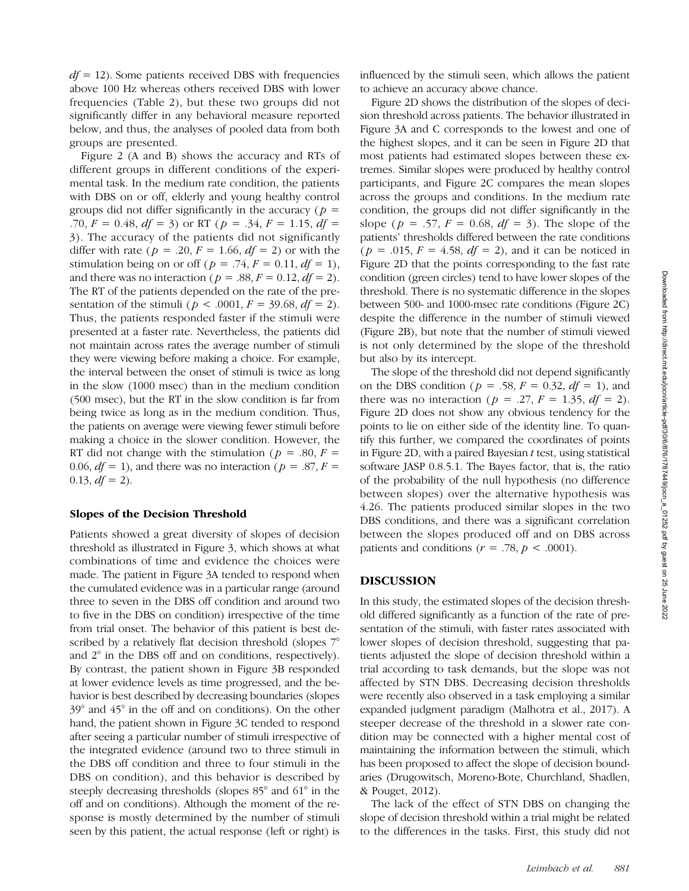$df = 12$ ). Some patients received DBS with frequencies above 100 Hz whereas others received DBS with lower frequencies (Table 2), but these two groups did not significantly differ in any behavioral measure reported below, and thus, the analyses of pooled data from both groups are presented.

Figure 2 (A and B) shows the accuracy and RTs of different groups in different conditions of the experimental task. In the medium rate condition, the patients with DBS on or off, elderly and young healthy control groups did not differ significantly in the accuracy ( $p =$ .70,  $F = 0.48$ ,  $df = 3$ ) or RT ( $p = .34$ ,  $F = 1.15$ ,  $df =$ 3). The accuracy of the patients did not significantly differ with rate ( $p = .20$ ,  $F = 1.66$ ,  $df = 2$ ) or with the stimulation being on or off ( $p = .74$ ,  $F = 0.11$ ,  $df = 1$ ), and there was no interaction ( $p = .88, F = 0.12, df = 2$ ). The RT of the patients depended on the rate of the presentation of the stimuli ( $p < .0001$ ,  $F = 39.68$ ,  $df = 2$ ). Thus, the patients responded faster if the stimuli were presented at a faster rate. Nevertheless, the patients did not maintain across rates the average number of stimuli they were viewing before making a choice. For example, the interval between the onset of stimuli is twice as long in the slow (1000 msec) than in the medium condition (500 msec), but the RT in the slow condition is far from being twice as long as in the medium condition. Thus, the patients on average were viewing fewer stimuli before making a choice in the slower condition. However, the RT did not change with the stimulation ( $p = .80, F =$ 0.06,  $df = 1$ ), and there was no interaction ( $p = .87, F =$  $0.13, df = 2$ ).

#### Slopes of the Decision Threshold

Patients showed a great diversity of slopes of decision threshold as illustrated in Figure 3, which shows at what combinations of time and evidence the choices were made. The patient in Figure 3A tended to respond when the cumulated evidence was in a particular range (around three to seven in the DBS off condition and around two to five in the DBS on condition) irrespective of the time from trial onset. The behavior of this patient is best described by a relatively flat decision threshold (slopes  $7^\circ$ and 2° in the DBS off and on conditions, respectively). By contrast, the patient shown in Figure 3B responded at lower evidence levels as time progressed, and the behavior is best described by decreasing boundaries (slopes 39° and 45° in the off and on conditions). On the other hand, the patient shown in Figure 3C tended to respond after seeing a particular number of stimuli irrespective of the integrated evidence (around two to three stimuli in the DBS off condition and three to four stimuli in the DBS on condition), and this behavior is described by steeply decreasing thresholds (slopes 85° and 61° in the off and on conditions). Although the moment of the response is mostly determined by the number of stimuli seen by this patient, the actual response (left or right) is

influenced by the stimuli seen, which allows the patient to achieve an accuracy above chance.

Figure 2D shows the distribution of the slopes of decision threshold across patients. The behavior illustrated in Figure 3A and C corresponds to the lowest and one of the highest slopes, and it can be seen in Figure 2D that most patients had estimated slopes between these extremes. Similar slopes were produced by healthy control participants, and Figure 2C compares the mean slopes across the groups and conditions. In the medium rate condition, the groups did not differ significantly in the slope ( $p = .57$ ,  $F = 0.68$ ,  $df = 3$ ). The slope of the patients' thresholds differed between the rate conditions  $(p = .015, F = 4.58, df = 2)$ , and it can be noticed in Figure 2D that the points corresponding to the fast rate condition (green circles) tend to have lower slopes of the threshold. There is no systematic difference in the slopes between 500- and 1000-msec rate conditions (Figure 2C) despite the difference in the number of stimuli viewed (Figure 2B), but note that the number of stimuli viewed is not only determined by the slope of the threshold but also by its intercept.

The slope of the threshold did not depend significantly on the DBS condition ( $p = .58$ ,  $F = 0.32$ ,  $df = 1$ ), and there was no interaction ( $p = .27$ ,  $F = 1.35$ ,  $df = 2$ ). Figure 2D does not show any obvious tendency for the points to lie on either side of the identity line. To quantify this further, we compared the coordinates of points in Figure 2D, with a paired Bayesian  $t$  test, using statistical software JASP 0.8.5.1. The Bayes factor, that is, the ratio of the probability of the null hypothesis (no difference between slopes) over the alternative hypothesis was 4.26. The patients produced similar slopes in the two DBS conditions, and there was a significant correlation between the slopes produced off and on DBS across patients and conditions ( $r = .78$ ,  $p < .0001$ ).

### DISCUSSION

In this study, the estimated slopes of the decision threshold differed significantly as a function of the rate of presentation of the stimuli, with faster rates associated with lower slopes of decision threshold, suggesting that patients adjusted the slope of decision threshold within a trial according to task demands, but the slope was not affected by STN DBS. Decreasing decision thresholds were recently also observed in a task employing a similar expanded judgment paradigm (Malhotra et al., 2017). A steeper decrease of the threshold in a slower rate condition may be connected with a higher mental cost of maintaining the information between the stimuli, which has been proposed to affect the slope of decision boundaries (Drugowitsch, Moreno-Bote, Churchland, Shadlen, & Pouget, 2012).

The lack of the effect of STN DBS on changing the slope of decision threshold within a trial might be related to the differences in the tasks. First, this study did not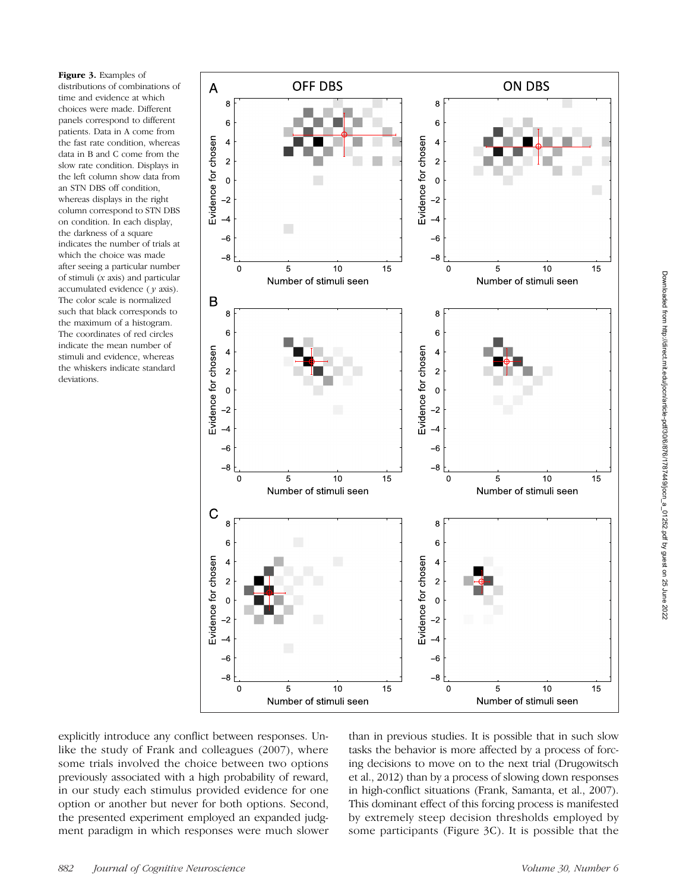Figure 3. Examples of distributions of combinations of time and evidence at which choices were made. Different panels correspond to different patients. Data in A come from the fast rate condition, whereas data in B and C come from the slow rate condition. Displays in the left column show data from an STN DBS off condition, whereas displays in the right column correspond to STN DBS on condition. In each display, the darkness of a square indicates the number of trials at which the choice was made after seeing a particular number of stimuli (x axis) and particular accumulated evidence  $(y \text{ axis})$ . The color scale is normalized such that black corresponds to the maximum of a histogram. The coordinates of red circles indicate the mean number of stimuli and evidence, whereas the whiskers indicate standard deviations.



explicitly introduce any conflict between responses. Unlike the study of Frank and colleagues (2007), where some trials involved the choice between two options previously associated with a high probability of reward, in our study each stimulus provided evidence for one option or another but never for both options. Second, the presented experiment employed an expanded judgment paradigm in which responses were much slower than in previous studies. It is possible that in such slow tasks the behavior is more affected by a process of forcing decisions to move on to the next trial (Drugowitsch et al., 2012) than by a process of slowing down responses in high-conflict situations (Frank, Samanta, et al., 2007). This dominant effect of this forcing process is manifested by extremely steep decision thresholds employed by some participants (Figure 3C). It is possible that the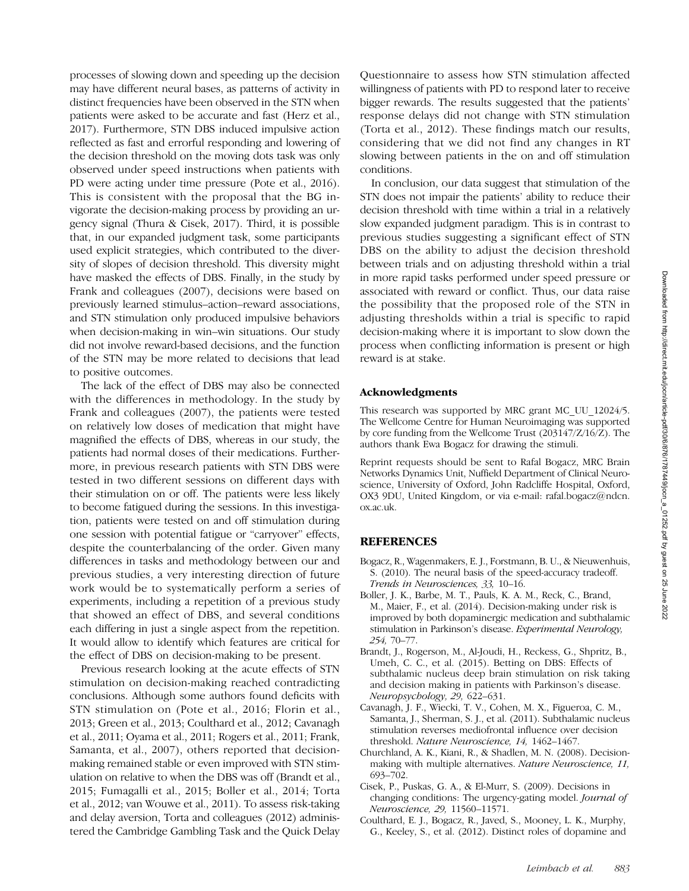processes of slowing down and speeding up the decision may have different neural bases, as patterns of activity in distinct frequencies have been observed in the STN when patients were asked to be accurate and fast (Herz et al., 2017). Furthermore, STN DBS induced impulsive action reflected as fast and errorful responding and lowering of the decision threshold on the moving dots task was only observed under speed instructions when patients with PD were acting under time pressure (Pote et al., 2016). This is consistent with the proposal that the BG invigorate the decision-making process by providing an urgency signal (Thura & Cisek, 2017). Third, it is possible that, in our expanded judgment task, some participants used explicit strategies, which contributed to the diversity of slopes of decision threshold. This diversity might have masked the effects of DBS. Finally, in the study by Frank and colleagues (2007), decisions were based on previously learned stimulus–action–reward associations, and STN stimulation only produced impulsive behaviors when decision-making in win–win situations. Our study did not involve reward-based decisions, and the function of the STN may be more related to decisions that lead to positive outcomes.

The lack of the effect of DBS may also be connected with the differences in methodology. In the study by Frank and colleagues (2007), the patients were tested on relatively low doses of medication that might have magnified the effects of DBS, whereas in our study, the patients had normal doses of their medications. Furthermore, in previous research patients with STN DBS were tested in two different sessions on different days with their stimulation on or off. The patients were less likely to become fatigued during the sessions. In this investigation, patients were tested on and off stimulation during one session with potential fatigue or "carryover" effects, despite the counterbalancing of the order. Given many differences in tasks and methodology between our and previous studies, a very interesting direction of future work would be to systematically perform a series of experiments, including a repetition of a previous study that showed an effect of DBS, and several conditions each differing in just a single aspect from the repetition. It would allow to identify which features are critical for the effect of DBS on decision-making to be present.

Previous research looking at the acute effects of STN stimulation on decision-making reached contradicting conclusions. Although some authors found deficits with STN stimulation on (Pote et al., 2016; Florin et al., 2013; Green et al., 2013; Coulthard et al., 2012; Cavanagh et al., 2011; Oyama et al., 2011; Rogers et al., 2011; Frank, Samanta, et al., 2007), others reported that decisionmaking remained stable or even improved with STN stimulation on relative to when the DBS was off (Brandt et al., 2015; Fumagalli et al., 2015; Boller et al., 2014; Torta et al., 2012; van Wouwe et al., 2011). To assess risk-taking and delay aversion, Torta and colleagues (2012) administered the Cambridge Gambling Task and the Quick Delay

Questionnaire to assess how STN stimulation affected willingness of patients with PD to respond later to receive bigger rewards. The results suggested that the patients' response delays did not change with STN stimulation (Torta et al., 2012). These findings match our results, considering that we did not find any changes in RT slowing between patients in the on and off stimulation conditions.

In conclusion, our data suggest that stimulation of the STN does not impair the patients' ability to reduce their decision threshold with time within a trial in a relatively slow expanded judgment paradigm. This is in contrast to previous studies suggesting a significant effect of STN DBS on the ability to adjust the decision threshold between trials and on adjusting threshold within a trial in more rapid tasks performed under speed pressure or associated with reward or conflict. Thus, our data raise the possibility that the proposed role of the STN in adjusting thresholds within a trial is specific to rapid decision-making where it is important to slow down the process when conflicting information is present or high reward is at stake.

#### Acknowledgments

This research was supported by MRC grant MC\_UU\_12024/5. The Wellcome Centre for Human Neuroimaging was supported by core funding from the Wellcome Trust (203147/Z/16/Z). The authors thank Ewa Bogacz for drawing the stimuli.

Reprint requests should be sent to Rafal Bogacz, MRC Brain Networks Dynamics Unit, Nuffield Department of Clinical Neuroscience, University of Oxford, John Radcliffe Hospital, Oxford, OX3 9DU, United Kingdom, or via e-mail: rafal.bogacz@ndcn. ox.ac.uk.

#### REFERENCES

- Bogacz, R., Wagenmakers, E. J., Forstmann, B. U., & Nieuwenhuis, S. (2010). The neural basis of the speed-accuracy tradeoff. Trends in Neurosciences, 33, 10–16.
- Boller, J. K., Barbe, M. T., Pauls, K. A. M., Reck, C., Brand, M., Maier, F., et al. (2014). Decision-making under risk is improved by both dopaminergic medication and subthalamic stimulation in Parkinson's disease. Experimental Neurology, 254, 70–77.
- Brandt, J., Rogerson, M., Al-Joudi, H., Reckess, G., Shpritz, B., Umeh, C. C., et al. (2015). Betting on DBS: Effects of subthalamic nucleus deep brain stimulation on risk taking and decision making in patients with Parkinson's disease. Neuropsychology, 29, 622–631.
- Cavanagh, J. F., Wiecki, T. V., Cohen, M. X., Figueroa, C. M., Samanta, J., Sherman, S. J., et al. (2011). Subthalamic nucleus stimulation reverses mediofrontal influence over decision threshold. Nature Neuroscience, 14, 1462–1467.
- Churchland, A. K., Kiani, R., & Shadlen, M. N. (2008). Decisionmaking with multiple alternatives. Nature Neuroscience, 11, 693–702.
- Cisek, P., Puskas, G. A., & El-Murr, S. (2009). Decisions in changing conditions: The urgency-gating model. Journal of Neuroscience, 29, 11560–11571.
- Coulthard, E. J., Bogacz, R., Javed, S., Mooney, L. K., Murphy, G., Keeley, S., et al. (2012). Distinct roles of dopamine and